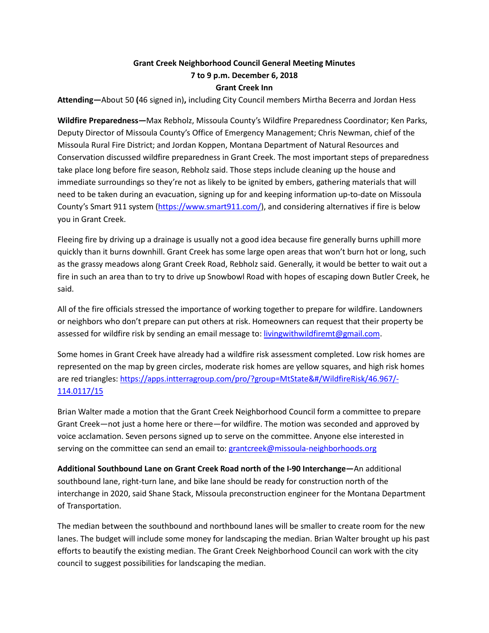## **Grant Creek Neighborhood Council General Meeting Minutes 7 to 9 p.m. December 6, 2018 Grant Creek Inn**

**Attending—**About 50 **(**46 signed in)**,** including City Council members Mirtha Becerra and Jordan Hess

**Wildfire Preparedness—**Max Rebholz, Missoula County's Wildfire Preparedness Coordinator; Ken Parks, Deputy Director of Missoula County's Office of Emergency Management; Chris Newman, chief of the Missoula Rural Fire District; and Jordan Koppen, Montana Department of Natural Resources and Conservation discussed wildfire preparedness in Grant Creek. The most important steps of preparedness take place long before fire season, Rebholz said. Those steps include cleaning up the house and immediate surroundings so they're not as likely to be ignited by embers, gathering materials that will need to be taken during an evacuation, signing up for and keeping information up-to-date on Missoula County's Smart 911 system [\(https://www.smart911.com/\)](https://www.smart911.com/), and considering alternatives if fire is below you in Grant Creek.

Fleeing fire by driving up a drainage is usually not a good idea because fire generally burns uphill more quickly than it burns downhill. Grant Creek has some large open areas that won't burn hot or long, such as the grassy meadows along Grant Creek Road, Rebholz said. Generally, it would be better to wait out a fire in such an area than to try to drive up Snowbowl Road with hopes of escaping down Butler Creek, he said.

All of the fire officials stressed the importance of working together to prepare for wildfire. Landowners or neighbors who don't prepare can put others at risk. Homeowners can request that their property be assessed for wildfire risk by sending an email message to: [livingwithwildfiremt@gmail.com.](mailto:livingwithwildfiremt@gmail.com)

Some homes in Grant Creek have already had a wildfire risk assessment completed. Low risk homes are represented on the map by green circles, moderate risk homes are yellow squares, and high risk homes are red triangles: [https://apps.intterragroup.com/pro/?group=MtState&#/WildfireRisk/46.967/-](https://apps.intterragroup.com/pro/?group=MtState&%23/WildfireRisk/46.967/-114.0117/15) [114.0117/15](https://apps.intterragroup.com/pro/?group=MtState&%23/WildfireRisk/46.967/-114.0117/15)

Brian Walter made a motion that the Grant Creek Neighborhood Council form a committee to prepare Grant Creek—not just a home here or there—for wildfire. The motion was seconded and approved by voice acclamation. Seven persons signed up to serve on the committee. Anyone else interested in serving on the committee can send an email to: grantcreek@missoula-neighborhoods.org

**Additional Southbound Lane on Grant Creek Road north of the I-90 Interchange—**An additional southbound lane, right-turn lane, and bike lane should be ready for construction north of the interchange in 2020, said Shane Stack, Missoula preconstruction engineer for the Montana Department of Transportation.

The median between the southbound and northbound lanes will be smaller to create room for the new lanes. The budget will include some money for landscaping the median. Brian Walter brought up his past efforts to beautify the existing median. The Grant Creek Neighborhood Council can work with the city council to suggest possibilities for landscaping the median.